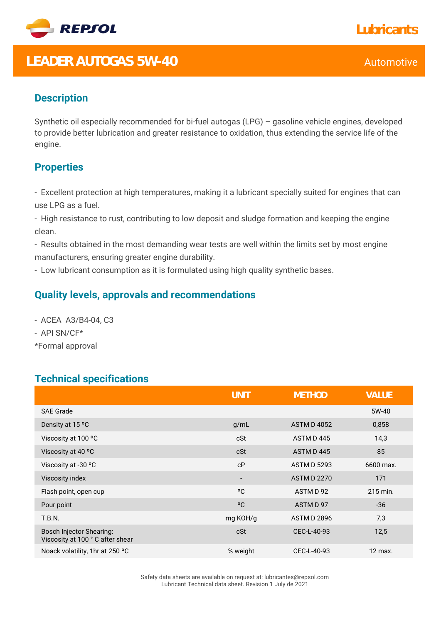

# **LEADER AUTOGAS 5W-40** Automotive

## **Description**

Synthetic oil especially recommended for bi-fuel autogas (LPG) – gasoline vehicle engines, developed to provide better lubrication and greater resistance to oxidation, thus extending the service life of the engine.

### **Properties**

- Excellent protection at high temperatures, making it a lubricant specially suited for engines that can use LPG as a fuel.

- High resistance to rust, contributing to low deposit and sludge formation and keeping the engine clean.

- Results obtained in the most demanding wear tests are well within the limits set by most engine manufacturers, ensuring greater engine durability.

- Low lubricant consumption as it is formulated using high quality synthetic bases.

#### **Quality levels, approvals and recommendations**

- ACEA A3/B4-04, C3

- API SN/CF\*

\*Formal approval

#### **Technical specifications**

|                                                                    | <b>UNIT</b>              | <b>METHOD</b>      | VALUE     |
|--------------------------------------------------------------------|--------------------------|--------------------|-----------|
| <b>SAE Grade</b>                                                   |                          |                    | 5W-40     |
| Density at 15 °C                                                   | g/mL                     | <b>ASTM D 4052</b> | 0,858     |
| Viscosity at 100 °C                                                | cSt                      | ASTM D445          | 14,3      |
| Viscosity at 40 °C                                                 | cSt                      | ASTM D445          | 85        |
| Viscosity at -30 °C                                                | cP                       | <b>ASTM D 5293</b> | 6600 max. |
| Viscosity index                                                    | $\overline{\phantom{a}}$ | <b>ASTM D 2270</b> | 171       |
| Flash point, open cup                                              | °C                       | ASTM D 92          | 215 min.  |
| Pour point                                                         | °C                       | ASTM D 97          | $-36$     |
| <b>T.B.N.</b>                                                      | mg KOH/g                 | <b>ASTM D 2896</b> | 7,3       |
| <b>Bosch Injector Shearing:</b><br>Viscosity at 100 °C after shear | cSt                      | CEC-L-40-93        | 12,5      |
| Noack volatility, 1hr at 250 °C                                    | % weight                 | CEC-L-40-93        | 12 max.   |

Safety data sheets are available on request at: lubricantes@repsol.com Lubricant Technical data sheet. Revision 1 July de 2021